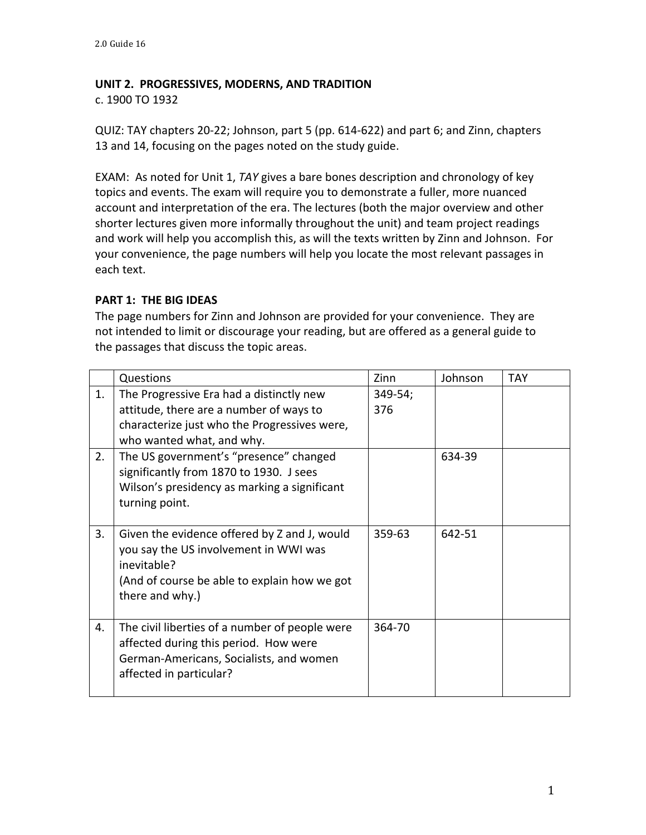## **UNIT 2. PROGRESSIVES, MODERNS, AND TRADITION**

c. 1900 TO 1932 

QUIZ: TAY chapters 20-22; Johnson, part 5 (pp. 614-622) and part 6; and Zinn, chapters 13 and 14, focusing on the pages noted on the study guide.

EXAM: As noted for Unit 1, TAY gives a bare bones description and chronology of key topics and events. The exam will require you to demonstrate a fuller, more nuanced account and interpretation of the era. The lectures (both the major overview and other shorter lectures given more informally throughout the unit) and team project readings and work will help you accomplish this, as will the texts written by Zinn and Johnson. For your convenience, the page numbers will help you locate the most relevant passages in each text.

## **PART 1: THE BIG IDEAS**

The page numbers for Zinn and Johnson are provided for your convenience. They are not intended to limit or discourage your reading, but are offered as a general guide to the passages that discuss the topic areas.

|    | Questions                                                                                                                                                               | Zinn           | Johnson | <b>TAY</b> |
|----|-------------------------------------------------------------------------------------------------------------------------------------------------------------------------|----------------|---------|------------|
| 1. | The Progressive Era had a distinctly new<br>attitude, there are a number of ways to<br>characterize just who the Progressives were,<br>who wanted what, and why.        | 349-54;<br>376 |         |            |
| 2. | The US government's "presence" changed<br>significantly from 1870 to 1930. J sees<br>Wilson's presidency as marking a significant<br>turning point.                     |                | 634-39  |            |
| 3. | Given the evidence offered by Z and J, would<br>you say the US involvement in WWI was<br>inevitable?<br>(And of course be able to explain how we got<br>there and why.) | 359-63         | 642-51  |            |
| 4. | The civil liberties of a number of people were<br>affected during this period. How were<br>German-Americans, Socialists, and women<br>affected in particular?           | 364-70         |         |            |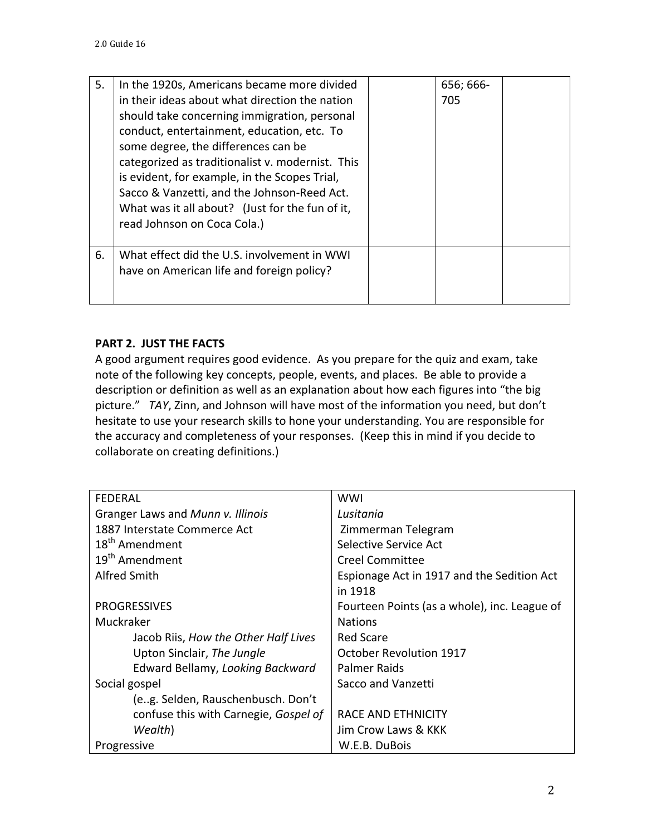| 5. | In the 1920s, Americans became more divided<br>in their ideas about what direction the nation<br>should take concerning immigration, personal<br>conduct, entertainment, education, etc. To<br>some degree, the differences can be<br>categorized as traditionalist v. modernist. This<br>is evident, for example, in the Scopes Trial,<br>Sacco & Vanzetti, and the Johnson-Reed Act.<br>What was it all about? (Just for the fun of it,<br>read Johnson on Coca Cola.) | 656; 666-<br>705 |  |
|----|--------------------------------------------------------------------------------------------------------------------------------------------------------------------------------------------------------------------------------------------------------------------------------------------------------------------------------------------------------------------------------------------------------------------------------------------------------------------------|------------------|--|
| 6. | What effect did the U.S. involvement in WWI<br>have on American life and foreign policy?                                                                                                                                                                                                                                                                                                                                                                                 |                  |  |

## **PART 2. JUST THE FACTS**

A good argument requires good evidence. As you prepare for the quiz and exam, take note of the following key concepts, people, events, and places. Be able to provide a description or definition as well as an explanation about how each figures into "the big picture." TAY, Zinn, and Johnson will have most of the information you need, but don't hesitate to use your research skills to hone your understanding. You are responsible for the accuracy and completeness of your responses. (Keep this in mind if you decide to collaborate on creating definitions.)

| <b>FEDERAL</b>                        | <b>WWI</b>                                   |  |  |
|---------------------------------------|----------------------------------------------|--|--|
| Granger Laws and Munn v. Illinois     | Lusitania                                    |  |  |
| 1887 Interstate Commerce Act          | Zimmerman Telegram                           |  |  |
| 18 <sup>th</sup> Amendment            | Selective Service Act                        |  |  |
| 19 <sup>th</sup> Amendment            | <b>Creel Committee</b>                       |  |  |
| Alfred Smith                          | Espionage Act in 1917 and the Sedition Act   |  |  |
|                                       | in 1918                                      |  |  |
| <b>PROGRESSIVES</b>                   | Fourteen Points (as a whole), inc. League of |  |  |
| Muckraker                             | <b>Nations</b>                               |  |  |
| Jacob Riis, How the Other Half Lives  | <b>Red Scare</b>                             |  |  |
| Upton Sinclair, The Jungle            | October Revolution 1917                      |  |  |
| Edward Bellamy, Looking Backward      | Palmer Raids                                 |  |  |
| Social gospel                         | Sacco and Vanzetti                           |  |  |
| (e.g. Selden, Rauschenbusch. Don't    |                                              |  |  |
| confuse this with Carnegie, Gospel of | RACE AND ETHNICITY                           |  |  |
| Wealth)                               | Jim Crow Laws & KKK                          |  |  |
| Progressive                           | W.E.B. DuBois                                |  |  |